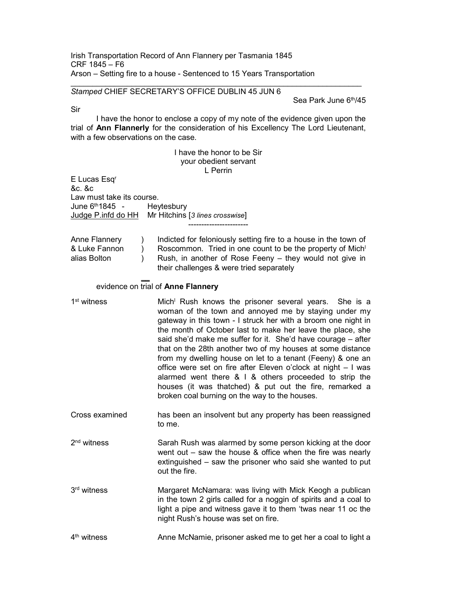Irish Transportation Record of Ann Flannery per Tasmania 1845 CRF 1845 – F6 Arson – Setting fire to a house - Sentenced to 15 Years Transportation

## Stamped CHIEF SECRETARY'S OFFICE DUBLIN 45 JUN 6

Sea Park June 6th/45

Sir

 I have the honor to enclose a copy of my note of the evidence given upon the trial of Ann Flannerly for the consideration of his Excellency The Lord Lieutenant, with a few observations on the case.

| I have the honor to be Sir<br>your obedient servant                                                              |                                                                                                                                                                                                                                                                                                                                                                                                                                                                                                                                                                                                                                                                                                    |  |
|------------------------------------------------------------------------------------------------------------------|----------------------------------------------------------------------------------------------------------------------------------------------------------------------------------------------------------------------------------------------------------------------------------------------------------------------------------------------------------------------------------------------------------------------------------------------------------------------------------------------------------------------------------------------------------------------------------------------------------------------------------------------------------------------------------------------------|--|
| E Lucas Esq <sup>r</sup><br>&c. &c                                                                               | L Perrin                                                                                                                                                                                                                                                                                                                                                                                                                                                                                                                                                                                                                                                                                           |  |
| Law must take its course.<br>June 6th 1845 -<br>Heytesbury<br>Judge P.infd do HH Mr Hitchins [3 lines crosswise] |                                                                                                                                                                                                                                                                                                                                                                                                                                                                                                                                                                                                                                                                                                    |  |
| Anne Flannery<br>$\mathcal{C}$<br>& Luke Fannon<br>$\lambda$<br>alias Bolton<br>$\mathcal{E}$                    | Indicted for feloniously setting fire to a house in the town of<br>Roscommon. Tried in one count to be the property of Mich <sup>1</sup><br>Rush, in another of Rose Feeny - they would not give in<br>their challenges & were tried separately                                                                                                                                                                                                                                                                                                                                                                                                                                                    |  |
| evidence on trial of Anne Flannery                                                                               |                                                                                                                                                                                                                                                                                                                                                                                                                                                                                                                                                                                                                                                                                                    |  |
| 1 <sup>st</sup> witness                                                                                          | Mich <sup>1</sup> Rush knows the prisoner several years.<br>She is a<br>woman of the town and annoyed me by staying under my<br>gateway in this town - I struck her with a broom one night in<br>the month of October last to make her leave the place, she<br>said she'd make me suffer for it. She'd have courage - after<br>that on the 28th another two of my houses at some distance<br>from my dwelling house on let to a tenant (Feeny) & one an<br>office were set on fire after Eleven o'clock at night - I was<br>alarmed went there $& 1 & 8$ others proceeded to strip the<br>houses (it was thatched) & put out the fire, remarked a<br>broken coal burning on the way to the houses. |  |
| Cross examined                                                                                                   | has been an insolvent but any property has been reassigned<br>to me.                                                                                                                                                                                                                                                                                                                                                                                                                                                                                                                                                                                                                               |  |
| $2nd$ witness                                                                                                    | Sarah Rush was alarmed by some person kicking at the door<br>went out $-$ saw the house & office when the fire was nearly<br>extinguished - saw the prisoner who said she wanted to put<br>out the fire.                                                                                                                                                                                                                                                                                                                                                                                                                                                                                           |  |
| 3rd witness                                                                                                      | Margaret McNamara: was living with Mick Keogh a publican<br>in the town 2 girls called for a noggin of spirits and a coal to<br>light a pipe and witness gave it to them 'twas near 11 oc the<br>night Rush's house was set on fire.                                                                                                                                                                                                                                                                                                                                                                                                                                                               |  |
| 4 <sup>th</sup> witness                                                                                          | Anne McNamie, prisoner asked me to get her a coal to light a                                                                                                                                                                                                                                                                                                                                                                                                                                                                                                                                                                                                                                       |  |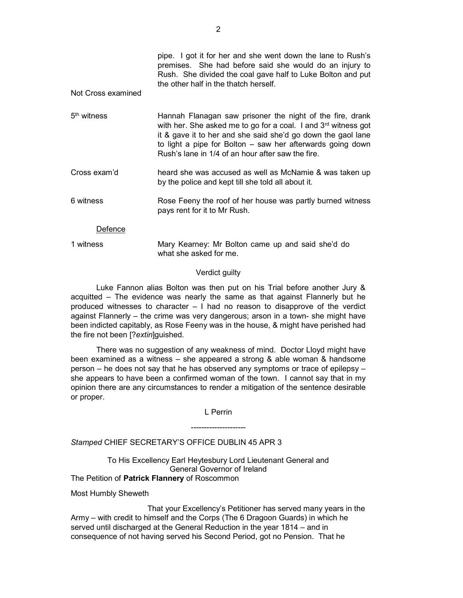|                         | pipe. I got it for her and she went down the lane to Rush's<br>premises. She had before said she would do an injury to<br>Rush. She divided the coal gave half to Luke Bolton and put<br>the other half in the thatch herself.                                                                                               |
|-------------------------|------------------------------------------------------------------------------------------------------------------------------------------------------------------------------------------------------------------------------------------------------------------------------------------------------------------------------|
| Not Cross examined      |                                                                                                                                                                                                                                                                                                                              |
| 5 <sup>th</sup> witness | Hannah Flanagan saw prisoner the night of the fire, drank<br>with her. She asked me to go for a coal. I and 3 <sup>rd</sup> witness got<br>it & gave it to her and she said she'd go down the gaol lane<br>to light a pipe for Bolton $-$ saw her afterwards going down<br>Rush's lane in 1/4 of an hour after saw the fire. |
| Cross exam'd            | heard she was accused as well as McNamie & was taken up<br>by the police and kept till she told all about it.                                                                                                                                                                                                                |
| 6 witness               | Rose Feeny the roof of her house was partly burned witness<br>pays rent for it to Mr Rush.                                                                                                                                                                                                                                   |
| Defence                 |                                                                                                                                                                                                                                                                                                                              |
| 1 witness               | Mary Kearney: Mr Bolton came up and said she'd do<br>what she asked for me.                                                                                                                                                                                                                                                  |

## Verdict guilty

 Luke Fannon alias Bolton was then put on his Trial before another Jury & acquitted – The evidence was nearly the same as that against Flannerly but he produced witnesses to character – I had no reason to disapprove of the verdict against Flannerly – the crime was very dangerous; arson in a town- she might have been indicted capitably, as Rose Feeny was in the house, & might have perished had the fire not been [?extin]guished.

 There was no suggestion of any weakness of mind. Doctor Lloyd might have been examined as a witness – she appeared a strong & able woman & handsome person – he does not say that he has observed any symptoms or trace of epilepsy – she appears to have been a confirmed woman of the town. I cannot say that in my opinion there are any circumstances to render a mitigation of the sentence desirable or proper.

L Perrin

---------------------

Stamped CHIEF SECRETARY'S OFFICE DUBLIN 45 APR 3

To His Excellency Earl Heytesbury Lord Lieutenant General and General Governor of Ireland The Petition of Patrick Flannery of Roscommon

Most Humbly Sheweth

 That your Excellency's Petitioner has served many years in the Army – with credit to himself and the Corps (The 6 Dragoon Guards) in which he served until discharged at the General Reduction in the year 1814 – and in consequence of not having served his Second Period, got no Pension. That he